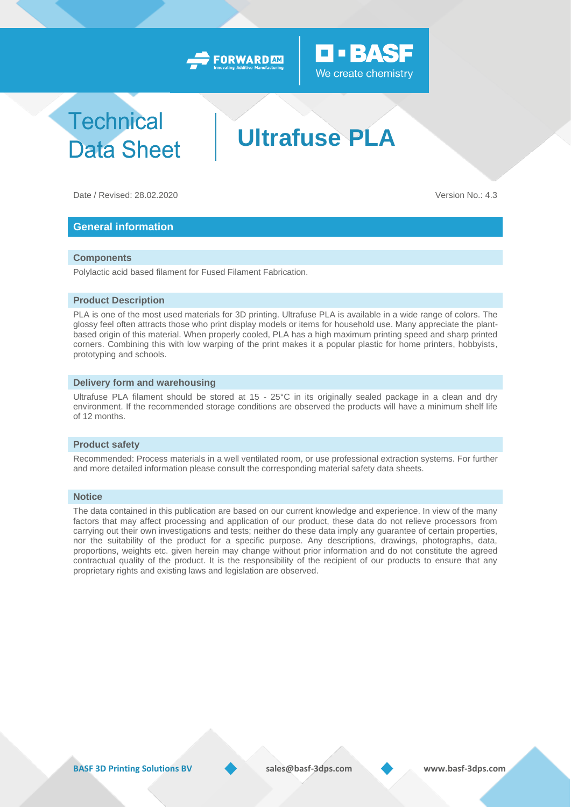



## **Technical Data Sheet**

# **Ultrafuse PLA**

Date / Revised: 28.02.2020 Version No.: 4.3

### **General information**

#### **Components**

Polylactic acid based filament for Fused Filament Fabrication.

#### **Product Description**

PLA is one of the most used materials for 3D printing. Ultrafuse PLA is available in a wide range of colors. The glossy feel often attracts those who print display models or items for household use. Many appreciate the plantbased origin of this material. When properly cooled, PLA has a high maximum printing speed and sharp printed corners. Combining this with low warping of the print makes it a popular plastic for home printers, hobbyists, prototyping and schools.

#### **Delivery form and warehousing**

Ultrafuse PLA filament should be stored at 15 - 25°C in its originally sealed package in a clean and dry environment. If the recommended storage conditions are observed the products will have a minimum shelf life of 12 months.

#### **Product safety**

Recommended: Process materials in a well ventilated room, or use professional extraction systems. For further and more detailed information please consult the corresponding material safety data sheets.

#### **Notice**

The data contained in this publication are based on our current knowledge and experience. In view of the many factors that may affect processing and application of our product, these data do not relieve processors from carrying out their own investigations and tests; neither do these data imply any guarantee of certain properties, nor the suitability of the product for a specific purpose. Any descriptions, drawings, photographs, data, proportions, weights etc. given herein may change without prior information and do not constitute the agreed contractual quality of the product. It is the responsibility of the recipient of our products to ensure that any proprietary rights and existing laws and legislation are observed.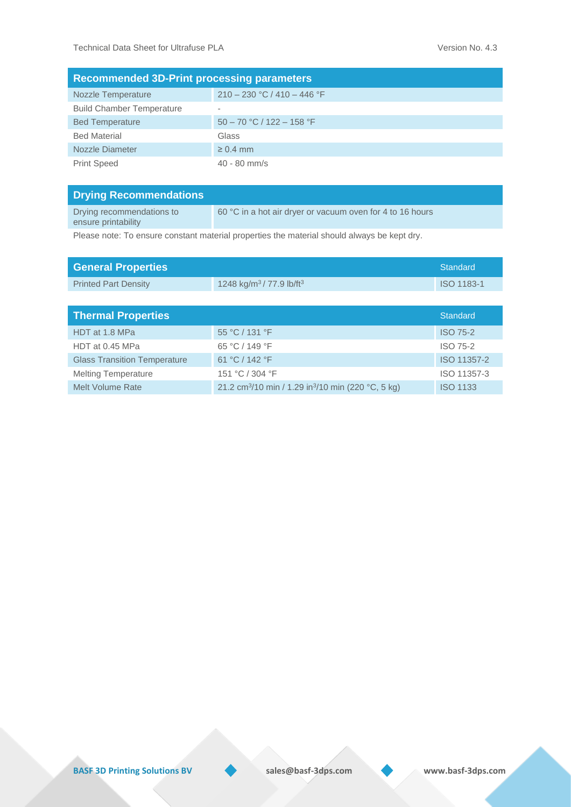| <b>Recommended 3D-Print processing parameters</b> |                               |  |  |  |
|---------------------------------------------------|-------------------------------|--|--|--|
| Nozzle Temperature                                | $210 - 230$ °C / 410 - 446 °F |  |  |  |
| <b>Build Chamber Temperature</b>                  |                               |  |  |  |
| <b>Bed Temperature</b>                            | $50 - 70$ °C / 122 - 158 °F   |  |  |  |
| <b>Bed Material</b>                               | Glass                         |  |  |  |
| Nozzle Diameter                                   | $\geq 0.4$ mm                 |  |  |  |
| <b>Print Speed</b>                                | $40 - 80$ mm/s                |  |  |  |

| <b>Drying Recommendations</b>                    |                                                           |
|--------------------------------------------------|-----------------------------------------------------------|
| Drying recommendations to<br>ensure printability | 60 °C in a hot air dryer or vacuum oven for 4 to 16 hours |

Please note: To ensure constant material properties the material should always be kept dry.

| <b>General Properties</b>           |                                                                            | <b>Standard</b>   |
|-------------------------------------|----------------------------------------------------------------------------|-------------------|
| <b>Printed Part Density</b>         | 1248 kg/m <sup>3</sup> /77.9 lb/ft <sup>3</sup>                            | <b>ISO 1183-1</b> |
|                                     |                                                                            |                   |
| <b>Thermal Properties</b>           |                                                                            | Standard          |
| HDT at 1.8 MPa                      | 55 °C / 131 °F                                                             | <b>ISO 75-2</b>   |
| HDT at 0.45 MPa                     | 65 °C / 149 °F                                                             | ISO 75-2          |
| <b>Glass Transition Temperature</b> | 61 °C / 142 °F                                                             | ISO 11357-2       |
| <b>Melting Temperature</b>          | 151 °C / 304 °F                                                            | ISO 11357-3       |
| Melt Volume Rate                    | 21.2 cm <sup>3</sup> /10 min / 1.29 in <sup>3</sup> /10 min (220 °C, 5 kg) | <b>ISO 1133</b>   |